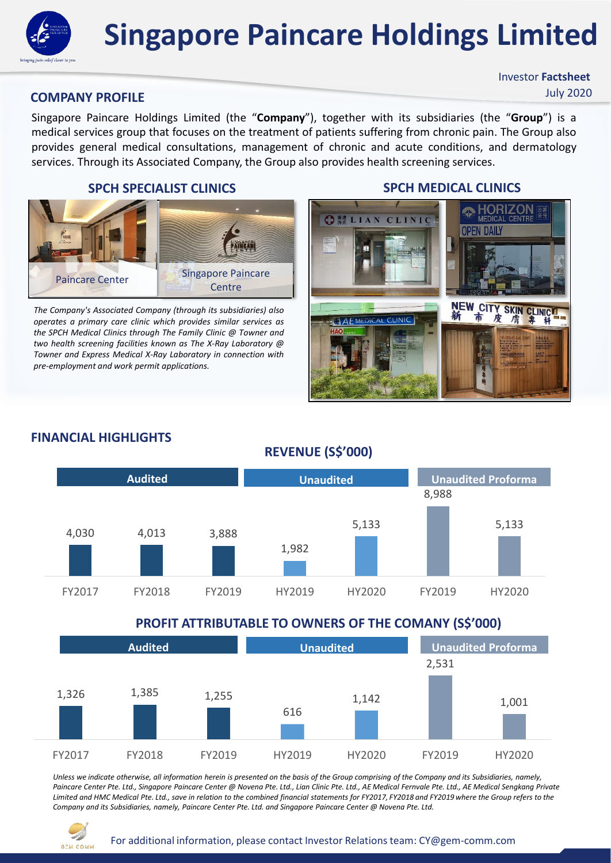

# **Singapore Paincare Holdings Limited**

#### **COMPANY PROFILE**

Singapore Paincare Holdings Limited (the "**Company**"), together with its subsidiaries (the "**Group**") is a medical services group that focuses on the treatment of patients suffering from chronic pain. The Group also provides general medical consultations, management of chronic and acute conditions, and dermatology services. Through its Associated Company, the Group also provides health screening services.

#### **SPCH SPECIALIST CLINICS SPCH MEDICAL CLINICS**



*The Company's Associated Company (through its subsidiaries) also operates a primary care clinic which provides similar services as the SPCH Medical Clinics through The Family Clinic @ Towner and two health screening facilities known as The X-Ray Laboratory @ Towner and Express Medical X-Ray Laboratory in connection with pre-employment and work permit applications.*

Investor **Factsheet**

July 2020



## 4,030 4,013 3,888 1,982 5,133 8,988 5,133 FY2017 FY2018 FY2019 HY2019 HY2020 FY2019 HY2020 **Audited Unaudited Unaudited Proforma**

### **FINANCIAL HIGHLIGHTS**

#### **PROFIT ATTRIBUTABLE TO OWNERS OF THE COMANY (S\$'000)**

**REVENUE (S\$'000)**

| <b>Audited</b> |        |        | <b>Unaudited</b> |        | <b>Unaudited Proforma</b> |        |
|----------------|--------|--------|------------------|--------|---------------------------|--------|
| 1,326          | 1,385  | 1,255  | 616              | 1,142  | 2,531                     | 1,001  |
| FY2017         | FY2018 | FY2019 | HY2019           | HY2020 | FY2019                    | HY2020 |

*Unless we indicate otherwise, all information herein is presented on the basis of the Group comprising of the Company and its Subsidiaries, namely,*  Paincare Center Pte. Ltd., Singapore Paincare Center @ Novena Pte. Ltd., Lian Clinic Pte. Ltd., AE Medical Fernvale Pte. Ltd., AE Medical Sengkang Private *Limited and HMC Medical Pte. Ltd., save in relation to the combined financial statements for FY2017, FY2018 and FY2019 where the Group refers to the Company and its Subsidiaries, namely, Paincare Center Pte. Ltd. and Singapore Paincare Center @ Novena Pte. Ltd.*

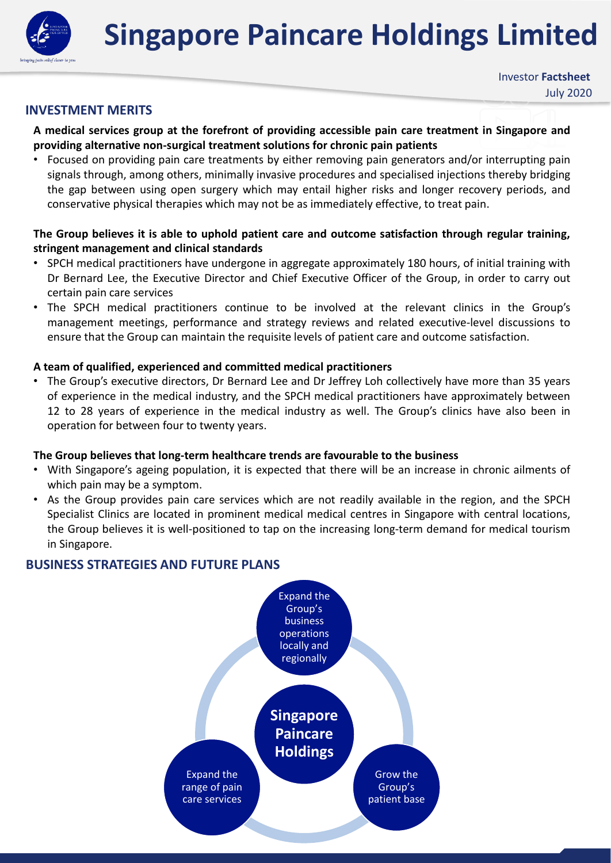**Singapore Paincare Holdings Limited**



#### **INVESTMENT MERITS**

#### **A medical services group at the forefront of providing accessible pain care treatment in Singapore and providing alternative non-surgical treatment solutions for chronic pain patients**

• Focused on providing pain care treatments by either removing pain generators and/or interrupting pain signals through, among others, minimally invasive procedures and specialised injections thereby bridging the gap between using open surgery which may entail higher risks and longer recovery periods, and conservative physical therapies which may not be as immediately effective, to treat pain.

#### **The Group believes it is able to uphold patient care and outcome satisfaction through regular training, stringent management and clinical standards**

- SPCH medical practitioners have undergone in aggregate approximately 180 hours, of initial training with Dr Bernard Lee, the Executive Director and Chief Executive Officer of the Group, in order to carry out certain pain care services
- The SPCH medical practitioners continue to be involved at the relevant clinics in the Group's management meetings, performance and strategy reviews and related executive-level discussions to ensure that the Group can maintain the requisite levels of patient care and outcome satisfaction.

#### **A team of qualified, experienced and committed medical practitioners**

• The Group's executive directors, Dr Bernard Lee and Dr Jeffrey Loh collectively have more than 35 years of experience in the medical industry, and the SPCH medical practitioners have approximately between 12 to 28 years of experience in the medical industry as well. The Group's clinics have also been in operation for between four to twenty years.

#### **The Group believes that long-term healthcare trends are favourable to the business**

- With Singapore's ageing population, it is expected that there will be an increase in chronic ailments of which pain may be a symptom.
- As the Group provides pain care services which are not readily available in the region, and the SPCH Specialist Clinics are located in prominent medical medical centres in Singapore with central locations, the Group believes it is well-positioned to tap on the increasing long-term demand for medical tourism in Singapore.

#### **BUSINESS STRATEGIES AND FUTURE PLANS**